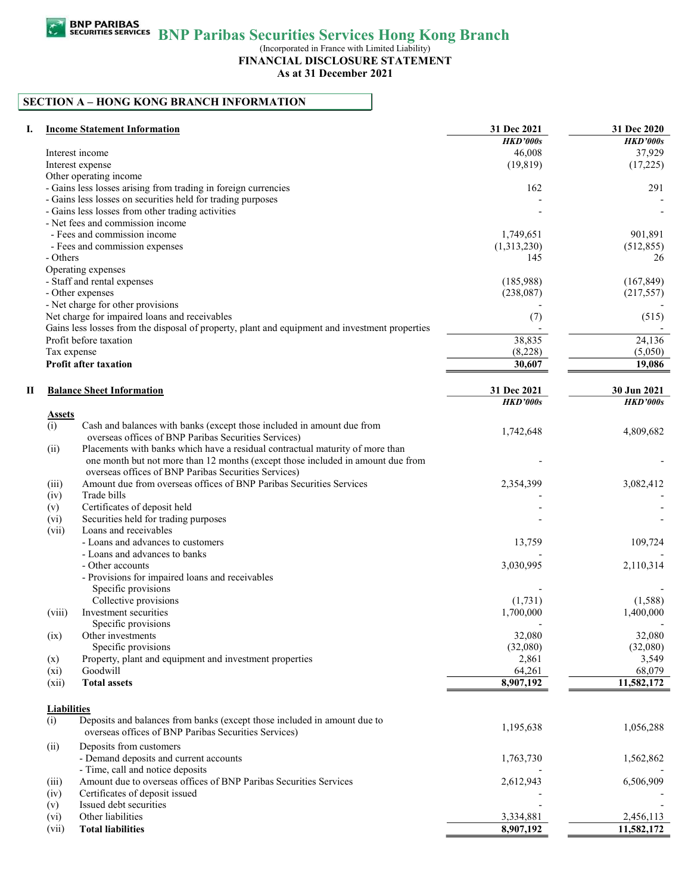BNP Paribas Securities Services Hong Kong Branch

(Incorporated in France with Limited Liability)

FINANCIAL DISCLOSURE STATEMENT

As at 31 December 2021

# SECTION A – HONG KONG BRANCH INFORMATION

| I. |                    | <b>Income Statement Information</b>                                                            | 31 Dec 2021<br><b>HKD'000s</b> | 31 Dec 2020<br><b>HKD'000s</b> |
|----|--------------------|------------------------------------------------------------------------------------------------|--------------------------------|--------------------------------|
|    |                    | Interest income                                                                                | 46.008                         | 37,929                         |
|    |                    | Interest expense                                                                               | (19, 819)                      | (17,225)                       |
|    |                    | Other operating income                                                                         |                                |                                |
|    |                    | - Gains less losses arising from trading in foreign currencies                                 | 162                            | 291                            |
|    |                    | - Gains less losses on securities held for trading purposes                                    |                                |                                |
|    |                    | - Gains less losses from other trading activities                                              |                                |                                |
|    |                    | - Net fees and commission income                                                               |                                |                                |
|    |                    | - Fees and commission income                                                                   | 1,749,651                      | 901,891                        |
|    |                    | - Fees and commission expenses                                                                 | (1,313,230)                    | (512, 855)                     |
|    | - Others           |                                                                                                | 145                            | 26                             |
|    |                    | Operating expenses                                                                             |                                |                                |
|    |                    | - Staff and rental expenses                                                                    | (185,988)                      | (167, 849)                     |
|    |                    |                                                                                                |                                |                                |
|    |                    | - Other expenses                                                                               | (238,087)                      | (217, 557)                     |
|    |                    | - Net charge for other provisions                                                              |                                |                                |
|    |                    | Net charge for impaired loans and receivables                                                  | (7)                            | (515)                          |
|    |                    | Gains less losses from the disposal of property, plant and equipment and investment properties |                                |                                |
|    |                    | Profit before taxation                                                                         | 38,835                         | 24,136                         |
|    | Tax expense        |                                                                                                | (8,228)                        | (5,050)                        |
|    |                    | <b>Profit after taxation</b>                                                                   | 30,607                         | 19,086                         |
|    |                    |                                                                                                |                                |                                |
| П  |                    | <b>Balance Sheet Information</b>                                                               | 31 Dec 2021                    | 30 Jun 2021                    |
|    |                    |                                                                                                | <b>HKD'000s</b>                | <b>HKD'000s</b>                |
|    | Assets             |                                                                                                |                                |                                |
|    | (i)                | Cash and balances with banks (except those included in amount due from                         |                                |                                |
|    |                    | overseas offices of BNP Paribas Securities Services)                                           | 1,742,648                      | 4,809,682                      |
|    | (ii)               | Placements with banks which have a residual contractual maturity of more than                  |                                |                                |
|    |                    | one month but not more than 12 months (except those included in amount due from                |                                |                                |
|    |                    | overseas offices of BNP Paribas Securities Services)                                           |                                |                                |
|    | (iii)              | Amount due from overseas offices of BNP Paribas Securities Services                            | 2,354,399                      | 3,082,412                      |
|    | (iv)               | Trade bills                                                                                    |                                |                                |
|    | (v)                | Certificates of deposit held                                                                   |                                |                                |
|    | (vi)               | Securities held for trading purposes                                                           |                                |                                |
|    | (vii)              | Loans and receivables                                                                          |                                |                                |
|    |                    | - Loans and advances to customers                                                              | 13,759                         | 109,724                        |
|    |                    | - Loans and advances to banks                                                                  |                                |                                |
|    |                    | - Other accounts                                                                               | 3,030,995                      | 2,110,314                      |
|    |                    | - Provisions for impaired loans and receivables                                                |                                |                                |
|    |                    | Specific provisions                                                                            |                                |                                |
|    |                    | Collective provisions                                                                          | (1,731)                        | (1,588)                        |
|    | (viii)             | Investment securities                                                                          | 1,700,000                      | 1,400,000                      |
|    |                    | Specific provisions                                                                            |                                |                                |
|    | (ix)               | Other investments                                                                              | 32,080                         | 32,080                         |
|    |                    | Specific provisions                                                                            | (32,080)                       | (32,080)                       |
|    |                    | Property, plant and equipment and investment properties                                        | 2,861                          | 3,549                          |
|    | $(\mathbf{x})$     | Goodwill                                                                                       | 64,261                         |                                |
|    | $(x_i)$            |                                                                                                |                                | 68,079                         |
|    | (xii)              | <b>Total assets</b>                                                                            | 8,907,192                      | 11,582,172                     |
|    |                    |                                                                                                |                                |                                |
|    | <b>Liabilities</b> |                                                                                                |                                |                                |
|    | (i)                | Deposits and balances from banks (except those included in amount due to                       | 1,195,638                      | 1,056,288                      |
|    |                    | overseas offices of BNP Paribas Securities Services)                                           |                                |                                |
|    | (ii)               | Deposits from customers                                                                        |                                |                                |
|    |                    | - Demand deposits and current accounts                                                         | 1,763,730                      | 1,562,862                      |
|    |                    | - Time, call and notice deposits                                                               |                                |                                |
|    | (iii)              | Amount due to overseas offices of BNP Paribas Securities Services                              | 2,612,943                      | 6,506,909                      |
|    | (iv)               | Certificates of deposit issued                                                                 |                                |                                |
|    | (v)                | Issued debt securities                                                                         |                                |                                |
|    | (vi)               | Other liabilities                                                                              | 3,334,881                      | 2,456,113                      |
|    | (vii)              | <b>Total liabilities</b>                                                                       | 8,907,192                      | 11,582,172                     |
|    |                    |                                                                                                |                                |                                |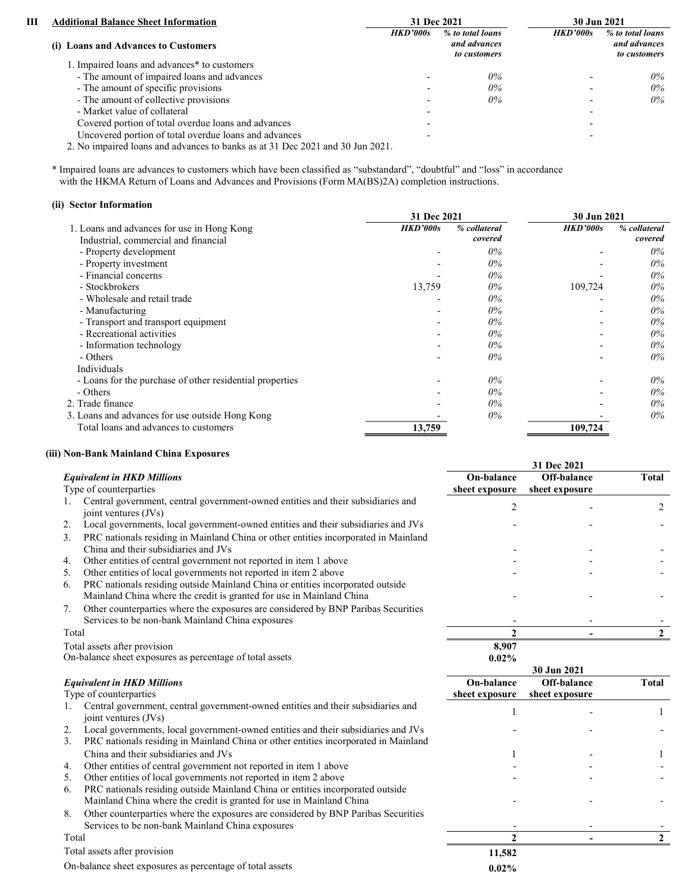| ш | <b>Additional Balance Sheet Information</b>           |                 | 31 Dec 2021                                      | 30 Jun 2021     |                                                  |
|---|-------------------------------------------------------|-----------------|--------------------------------------------------|-----------------|--------------------------------------------------|
|   | (i) Loans and Advances to Customers                   | <b>HKD'000s</b> | % to total loans<br>and advances<br>to customers | <b>HKD'000s</b> | % to total loans<br>and advances<br>to customers |
|   | 1. Impaired loans and advances* to customers          |                 |                                                  |                 |                                                  |
|   | - The amount of impaired loans and advances           |                 | $0\%$                                            |                 | $0\%$                                            |
|   | - The amount of specific provisions                   |                 | $0\%$                                            |                 | $0\%$                                            |
|   | - The amount of collective provisions                 |                 | $0\%$                                            |                 | $0\%$                                            |
|   | - Market value of collateral                          |                 |                                                  |                 |                                                  |
|   | Covered portion of total overdue loans and advances   |                 |                                                  |                 |                                                  |
|   | Uncovered portion of total overdue loans and advances |                 |                                                  |                 |                                                  |
|   |                                                       |                 |                                                  |                 |                                                  |

2. No impaired loans and advances to banks as at 31 Dec 2021 and 30 Jun 2021.

 \* Impaired loans are advances to customers which have been classified as "substandard", "doubtful" and "loss" in accordance with the HKMA Return of Loans and Advances and Provisions (Form MA(BS)2A) completion instructions.

### (ii) Sector Information

|                                                          | 31 Dec 2021 |              | 30 Jun 2021     |              |
|----------------------------------------------------------|-------------|--------------|-----------------|--------------|
| 1. Loans and advances for use in Hong Kong               | HKD'000s    | % collateral | <b>HKD'000s</b> | % collateral |
| Industrial, commercial and financial                     |             | covered      |                 | covered      |
| - Property development                                   |             | $0\%$        |                 | $0\%$        |
| - Property investment                                    |             | $0\%$        |                 | $0\%$        |
| - Financial concerns                                     |             | $0\%$        |                 | $0\%$        |
| - Stockbrokers                                           | 13,759      | $0\%$        | 109,724         | $0\%$        |
| - Wholesale and retail trade                             |             | $0\%$        |                 | $0\%$        |
| - Manufacturing                                          |             | $0\%$        |                 | $0\%$        |
| - Transport and transport equipment                      |             | $0\%$        |                 | $0\%$        |
| - Recreational activities                                |             | $0\%$        |                 | $0\%$        |
| - Information technology                                 |             | $0\%$        |                 | $0\%$        |
| - Others                                                 |             | $0\%$        |                 | $0\%$        |
| Individuals                                              |             |              |                 |              |
| - Loans for the purchase of other residential properties |             | $0\%$        |                 | $0\%$        |
| - Others                                                 |             | $0\%$        |                 | $0\%$        |
| 2. Trade finance                                         |             | $0\%$        |                 | $0\%$        |
| 3. Loans and advances for use outside Hong Kong          |             | $0\%$        |                 | $0\%$        |
| Total loans and advances to customers                    | 13,759      |              | 109,724         |              |

# (iii) Non-Bank Mainland China Exposures

|       |                                                                                                          |                              | 31 Dec 2021                   |       |
|-------|----------------------------------------------------------------------------------------------------------|------------------------------|-------------------------------|-------|
|       | <b>Equivalent in HKD Millions</b><br>Type of counterparties                                              | On-balance<br>sheet exposure | Off-balance<br>sheet exposure | Total |
|       | Central government, central government-owned entities and their subsidiaries and<br>joint ventures (JVs) | $\mathfrak{D}$               |                               | 2     |
| 2.    | Local governments, local government-owned entities and their subsidiaries and JVs                        |                              |                               |       |
| 3.    | PRC nationals residing in Mainland China or other entities incorporated in Mainland                      |                              |                               |       |
|       | China and their subsidiaries and JVs                                                                     |                              |                               |       |
| 4.    | Other entities of central government not reported in item 1 above                                        |                              |                               |       |
| 5.    | Other entities of local governments not reported in item 2 above                                         |                              |                               |       |
| 6.    | PRC nationals residing outside Mainland China or entities incorporated outside                           |                              |                               |       |
|       | Mainland China where the credit is granted for use in Mainland China                                     |                              |                               |       |
| 7.    | Other counterparties where the exposures are considered by BNP Paribas Securities                        |                              |                               |       |
|       | Services to be non-bank Mainland China exposures                                                         |                              |                               |       |
| Total |                                                                                                          |                              |                               |       |
|       | Total assets after provision                                                                             | 8,907                        |                               |       |
|       | On-balance sheet exposures as percentage of total assets                                                 | $0.02\%$                     |                               |       |
|       |                                                                                                          |                              | 30 Jun 2021                   |       |
|       | <b>Equivalent in HKD Millions</b>                                                                        | On-balance                   | Off-balance                   | Total |
|       | Type of counterparties                                                                                   | sheet exposure               | sheet exposure                |       |

|  | Type of counterparties |
|--|------------------------|

- 1. Central government, central government-owned entities and their subsidiaries and joint ventures (JVs) 1 1
	- 2. Local governments, local government-owned entities and their subsidiaries and JVs - -
	- 3. PRC nationals residing in Mainland China or other entities incorporated in Mainland China and their subsidiaries and JVs 1 and 1 - 1 1 and 1 - 1 1 and 1 - 1 1 and 1 - 1 1 and 1 and 1 and 1 and 1  $\frac{1}{2}$  1 and 1 and 1 and 1 and 1 and 1 and 1 and 1 and 1 and 1 and 1 and 1 and 1 and 1 and 1 and 1 and 1 and
	- 4. Other entities of central government not reported in item  $1$  above  $5 -$  Other entities of least expression at reported in item  $2$  above
	-

| Other entities of local governments not reported in item 2 above                        |          |  |
|-----------------------------------------------------------------------------------------|----------|--|
| PRC nationals residing outside Mainland China or entities incorporated outside<br>6.    |          |  |
| Mainland China where the credit is granted for use in Mainland China                    |          |  |
| Other counterparties where the exposures are considered by BNP Paribas Securities<br>8. |          |  |
| Services to be non-bank Mainland China exposures                                        |          |  |
| Total                                                                                   |          |  |
| Total assets after provision                                                            | 11,582   |  |
| On-balance sheet exposures as percentage of total assets                                | $0.02\%$ |  |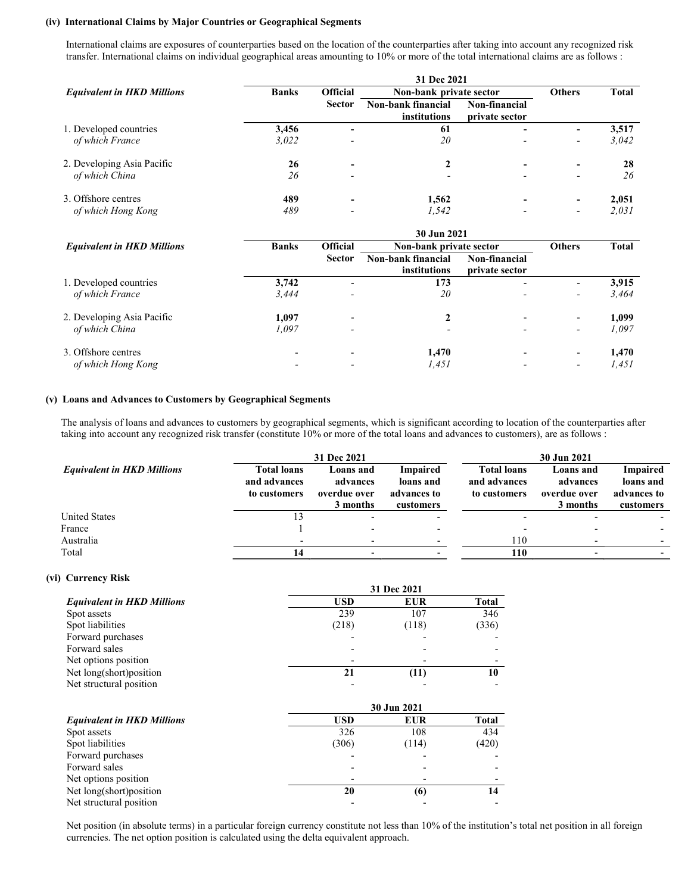#### (iv) International Claims by Major Countries or Geographical Segments

 International claims are exposures of counterparties based on the location of the counterparties after taking into account any recognized risk transfer. International claims on individual geographical areas amounting to 10% or more of the total international claims are as follows :

|                                   | 31 Dec 2021  |                          |                                           |                                 |                          |              |  |  |
|-----------------------------------|--------------|--------------------------|-------------------------------------------|---------------------------------|--------------------------|--------------|--|--|
| <b>Equivalent in HKD Millions</b> | <b>Banks</b> | <b>Official</b>          | Non-bank private sector                   |                                 | <b>Others</b>            | <b>Total</b> |  |  |
|                                   |              | <b>Sector</b>            | Non-bank financial<br><b>institutions</b> | Non-financial<br>private sector |                          |              |  |  |
| 1. Developed countries            | 3,456        | $\overline{\phantom{0}}$ | 61                                        |                                 | $\blacksquare$           | 3,517        |  |  |
| of which France                   | 3,022        | $\overline{a}$           | 20                                        |                                 | $\overline{\phantom{a}}$ | 3.042        |  |  |
| 2. Developing Asia Pacific        | 26           | $\overline{\phantom{0}}$ |                                           |                                 | $\blacksquare$           | 28           |  |  |
| of which China                    | 26           | $\overline{a}$           |                                           |                                 | $\overline{\phantom{0}}$ | 26           |  |  |
| 3. Offshore centres               | 489          |                          | 1.562                                     |                                 | $\blacksquare$           | 2,051        |  |  |
| of which Hong Kong                | 489          |                          | 1,542                                     |                                 | $\overline{\phantom{a}}$ | 2.031        |  |  |

|                                   | 30 Jun 2021              |                          |                                           |                                 |                          |       |  |
|-----------------------------------|--------------------------|--------------------------|-------------------------------------------|---------------------------------|--------------------------|-------|--|
| <b>Equivalent in HKD Millions</b> | <b>Banks</b>             | <b>Official</b>          | Non-bank private sector                   | <b>Others</b>                   | <b>Total</b>             |       |  |
|                                   |                          | <b>Sector</b>            | Non-bank financial<br><i>institutions</i> | Non-financial<br>private sector |                          |       |  |
| 1. Developed countries            | 3.742                    |                          | 173                                       |                                 | $\overline{\phantom{0}}$ | 3,915 |  |
| of which France                   | 3,444                    | $\overline{\phantom{0}}$ | 20                                        |                                 | $\overline{\phantom{a}}$ | 3,464 |  |
| 2. Developing Asia Pacific        | 1.097                    | $\overline{\phantom{a}}$ |                                           |                                 | $\overline{\phantom{0}}$ | 1,099 |  |
| of which China                    | 1.097                    | $\overline{\phantom{0}}$ | $\overline{\phantom{0}}$                  |                                 | $\overline{\phantom{a}}$ | 1.097 |  |
| 3. Offshore centres               | $\overline{\phantom{0}}$ |                          | 1.470                                     |                                 | $\overline{\phantom{a}}$ | 1.470 |  |
| of which Hong Kong                |                          |                          | 1,451                                     |                                 | $\overline{\phantom{a}}$ | 1,451 |  |

#### (v) Loans and Advances to Customers by Geographical Segments

The analysis of loans and advances to customers by geographical segments, which is significant according to location of the counterparties after taking into account any recognized risk transfer (constitute 10% or more of the total loans and advances to customers), are as follows :

|                                   |                                                    | 31 Dec 2021                                       |                                                          |                                                    | 30 Jun 2021                                       |                                                          |
|-----------------------------------|----------------------------------------------------|---------------------------------------------------|----------------------------------------------------------|----------------------------------------------------|---------------------------------------------------|----------------------------------------------------------|
| <b>Equivalent in HKD Millions</b> | <b>Total loans</b><br>and advances<br>to customers | Loans and<br>advances<br>overdue over<br>3 months | <b>Impaired</b><br>loans and<br>advances to<br>customers | <b>Total loans</b><br>and advances<br>to customers | Loans and<br>advances<br>overdue over<br>3 months | <b>Impaired</b><br>loans and<br>advances to<br>customers |
| <b>United States</b>              |                                                    |                                                   |                                                          |                                                    |                                                   |                                                          |
| France                            |                                                    |                                                   |                                                          |                                                    |                                                   |                                                          |
| Australia                         |                                                    |                                                   |                                                          | l 10                                               |                                                   |                                                          |
| Total                             |                                                    |                                                   |                                                          | 110                                                |                                                   |                                                          |

#### (vi) Currency Risk

|                                   | 31 Dec 2021 |            |       |  |  |
|-----------------------------------|-------------|------------|-------|--|--|
| <b>Equivalent in HKD Millions</b> | USD         | <b>EUR</b> | Total |  |  |
| Spot assets                       | 239         | 107        | 346   |  |  |
| Spot liabilities                  | (218)       | (118)      | (336) |  |  |
| Forward purchases                 |             |            |       |  |  |
| Forward sales                     |             |            |       |  |  |
| Net options position              |             |            |       |  |  |
| Net long(short)position           | 21          |            |       |  |  |
| Net structural position           |             |            |       |  |  |

|                                   | 30 Jun 2021 |            |       |  |
|-----------------------------------|-------------|------------|-------|--|
| <b>Equivalent in HKD Millions</b> | <b>USD</b>  | <b>EUR</b> | Total |  |
| Spot assets                       | 326         | 108        | 434   |  |
| Spot liabilities                  | (306)       | (114)      | (420) |  |
| Forward purchases                 |             |            |       |  |
| Forward sales                     |             |            |       |  |
| Net options position              |             |            |       |  |
| Net long(short)position           | 20          | (6)        |       |  |
| Net structural position           |             |            |       |  |

 Net position (in absolute terms) in a particular foreign currency constitute not less than 10% of the institution's total net position in all foreign currencies. The net option position is calculated using the delta equivalent approach.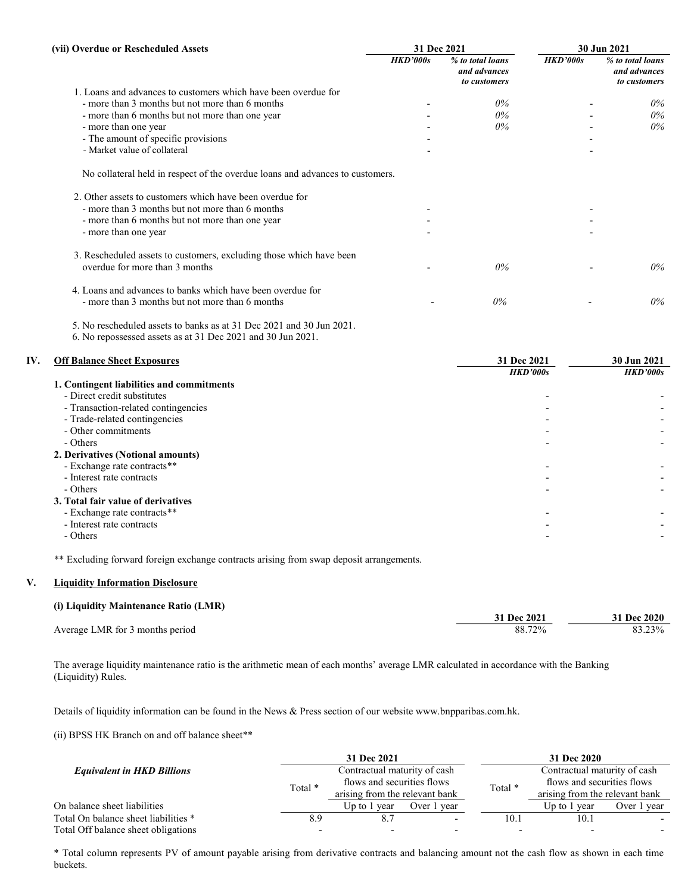| (vii) Overdue or Rescheduled Assets                                           | 31 Dec 2021 |                                                  | 30 Jun 2021 |                                                  |
|-------------------------------------------------------------------------------|-------------|--------------------------------------------------|-------------|--------------------------------------------------|
|                                                                               | HKD'000s    | % to total loans<br>and advances<br>to customers | HKD'000s    | % to total loans<br>and advances<br>to customers |
| 1. Loans and advances to customers which have been overdue for                |             |                                                  |             |                                                  |
| - more than 3 months but not more than 6 months                               |             | $0\%$                                            |             | $0\%$                                            |
| - more than 6 months but not more than one year                               |             | $0\%$                                            |             | $0\%$                                            |
| - more than one year                                                          |             | $0\%$                                            |             | $0\%$                                            |
| - The amount of specific provisions                                           |             |                                                  |             |                                                  |
| - Market value of collateral                                                  |             |                                                  |             |                                                  |
| No collateral held in respect of the overdue loans and advances to customers. |             |                                                  |             |                                                  |
| 2. Other assets to customers which have been overdue for                      |             |                                                  |             |                                                  |
| - more than 3 months but not more than 6 months                               |             |                                                  |             |                                                  |
| - more than 6 months but not more than one year                               |             |                                                  |             |                                                  |
| - more than one year                                                          |             |                                                  |             |                                                  |
| 3. Rescheduled assets to customers, excluding those which have been           |             |                                                  |             |                                                  |
| overdue for more than 3 months                                                |             | $0\%$                                            |             | $0\%$                                            |
| 4. Loans and advances to banks which have been overdue for                    |             |                                                  |             |                                                  |
| - more than 3 months but not more than 6 months                               |             | $0\%$                                            |             | $0\%$                                            |
|                                                                               |             |                                                  |             |                                                  |

5. No rescheduled assets to banks as at 31 Dec 2021 and 30 Jun 2021.

6. No repossessed assets as at 31 Dec 2021 and 30 Jun 2021.

# IV. Off Balance Sheet Exposures 31 Dec 2021 30 Jun 2021 HKD'000s HKD'000s

| 1. Contingent liabilities and commitments |  |
|-------------------------------------------|--|
| - Direct credit substitutes               |  |
| - Transaction-related contingencies       |  |
| - Trade-related contingencies             |  |
| - Other commitments                       |  |
| - Others                                  |  |
| 2. Derivatives (Notional amounts)         |  |
| - Exchange rate contracts**               |  |
| - Interest rate contracts                 |  |
| - Others                                  |  |
| 3. Total fair value of derivatives        |  |
| - Exchange rate contracts**               |  |
| - Interest rate contracts                 |  |
| - Others                                  |  |

\*\* Excluding forward foreign exchange contracts arising from swap deposit arrangements.

# V. Liquidity Information Disclosure

### (i) Liquidity Maintenance Ratio (LMR)

|                                 | 31 Dec 2021 | 31 Dec 2020 |
|---------------------------------|-------------|-------------|
| Average LMR for 3 months period | 88.72%      | 83.23%      |

 The average liquidity maintenance ratio is the arithmetic mean of each months' average LMR calculated in accordance with the Banking (Liquidity) Rules.

Details of liquidity information can be found in the News & Press section of our website www.bnpparibas.com.hk.

(ii) BPSS HK Branch on and off balance sheet\*\*

|                                      |     | 31 Dec 2021                                                                                             |             |         | 31 Dec 2020                    |             |  |
|--------------------------------------|-----|---------------------------------------------------------------------------------------------------------|-------------|---------|--------------------------------|-------------|--|
| <b>Equivalent in HKD Billions</b>    |     | Contractual maturity of cash<br>flows and securities flows<br>Total *<br>arising from the relevant bank |             |         | Contractual maturity of cash   |             |  |
|                                      |     |                                                                                                         |             | Total * | flows and securities flows     |             |  |
|                                      |     |                                                                                                         |             |         | arising from the relevant bank |             |  |
| On balance sheet liabilities         |     | Up to 1<br>vear                                                                                         | Over 1 year |         | Up to 1 year                   | Over 1 vear |  |
| Total On balance sheet liabilities * | 8.9 |                                                                                                         |             | 10.1    | 10.1                           |             |  |
| Total Off balance sheet obligations  |     |                                                                                                         |             |         |                                |             |  |

 \* Total column represents PV of amount payable arising from derivative contracts and balancing amount not the cash flow as shown in each time buckets.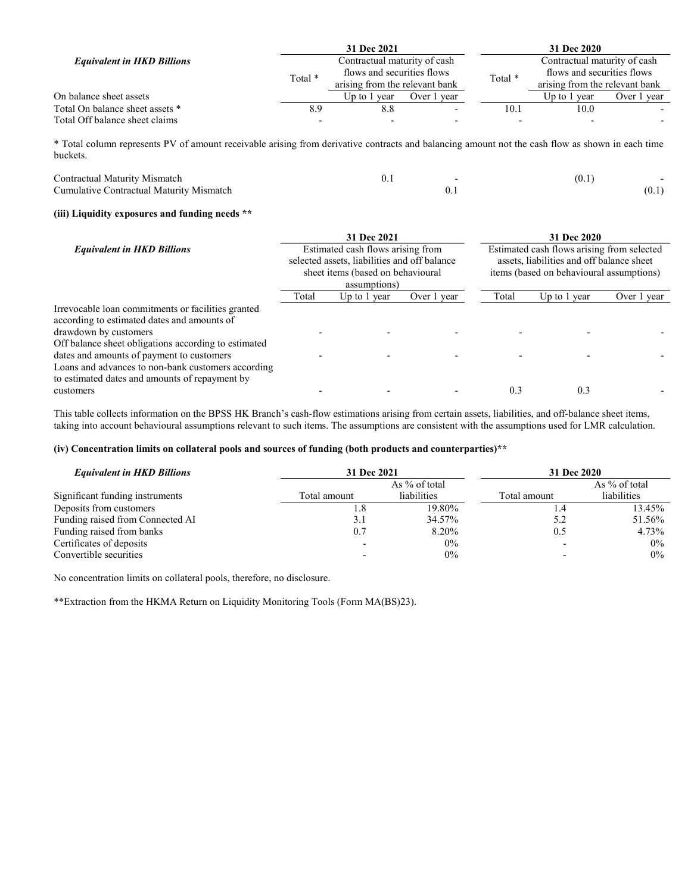|                                   |     | 31 Dec 2021                                                                                             |             |         | 31 Dec 2020                    |             |  |
|-----------------------------------|-----|---------------------------------------------------------------------------------------------------------|-------------|---------|--------------------------------|-------------|--|
| <b>Equivalent in HKD Billions</b> |     | Contractual maturity of cash<br>flows and securities flows<br>Total *<br>arising from the relevant bank |             |         | Contractual maturity of cash   |             |  |
|                                   |     |                                                                                                         |             | Total * | flows and securities flows     |             |  |
|                                   |     |                                                                                                         |             |         | arising from the relevant bank |             |  |
| On balance sheet assets           |     | Up to 1<br>vear                                                                                         | Over 1 year |         | Up to 1 year                   | Over 1 vear |  |
| Total On balance sheet assets *   | 8.9 | 8.8                                                                                                     |             | 10.1    | 10.0                           |             |  |
| Total Off balance sheet claims    |     |                                                                                                         |             |         |                                |             |  |

 \* Total column represents PV of amount receivable arising from derivative contracts and balancing amount not the cash flow as shown in each time buckets.

| Contractual Maturity Mismatch            | v. 1 | . O.,  |
|------------------------------------------|------|--------|
| Cumulative Contractual Maturity Mismatch |      | (0, 1) |

#### (iii) Liquidity exposures and funding needs \*\*

|                                                      | 31 Dec 2021                                                                                                                            |              |                                            | 31 Dec 2020 |              |             |
|------------------------------------------------------|----------------------------------------------------------------------------------------------------------------------------------------|--------------|--------------------------------------------|-------------|--------------|-------------|
| <b>Equivalent in HKD Billions</b>                    | Estimated cash flows arising from<br>selected assets, liabilities and off balance<br>sheet items (based on behavioural<br>assumptions) |              | Estimated cash flows arising from selected |             |              |             |
|                                                      |                                                                                                                                        |              | assets, liabilities and off balance sheet  |             |              |             |
|                                                      |                                                                                                                                        |              | items (based on behavioural assumptions)   |             |              |             |
|                                                      |                                                                                                                                        |              |                                            |             |              |             |
|                                                      | Total                                                                                                                                  | Up to 1 year | Over 1 year                                | Total       | Up to 1 year | Over 1 year |
| Irrevocable loan commitments or facilities granted   |                                                                                                                                        |              |                                            |             |              |             |
| according to estimated dates and amounts of          |                                                                                                                                        |              |                                            |             |              |             |
| drawdown by customers                                |                                                                                                                                        |              |                                            |             |              |             |
| Off balance sheet obligations according to estimated |                                                                                                                                        |              |                                            |             |              |             |
| dates and amounts of payment to customers            |                                                                                                                                        |              |                                            |             |              |             |
| Loans and advances to non-bank customers according   |                                                                                                                                        |              |                                            |             |              |             |
| to estimated dates and amounts of repayment by       |                                                                                                                                        |              |                                            |             |              |             |
| customers                                            |                                                                                                                                        |              |                                            | 0.3         | 0.3          |             |

 This table collects information on the BPSS HK Branch's cash-flow estimations arising from certain assets, liabilities, and off-balance sheet items, taking into account behavioural assumptions relevant to such items. The assumptions are consistent with the assumptions used for LMR calculation.

#### (iv) Concentration limits on collateral pools and sources of funding (both products and counterparties)\*\*

| <b>Equivalent in HKD Billions</b> | 31 Dec 2021  |                    | 31 Dec 2020  |               |  |
|-----------------------------------|--------------|--------------------|--------------|---------------|--|
|                                   |              | As % of total      |              | As % of total |  |
| Significant funding instruments   | Total amount | <i>liabilities</i> | Total amount | liabilities   |  |
| Deposits from customers           | 1.8          | 19.80%             | 1.4          | 13.45%        |  |
| Funding raised from Connected AI  | 3.1          | 34.57%             | 5.2          | 51.56%        |  |
| Funding raised from banks         | 0.7          | 8.20%              | 0.5          | 4.73%         |  |
| Certificates of deposits          |              | $0\%$              |              | 0%            |  |
| Convertible securities            |              | $0\%$              |              | $0\%$         |  |

No concentration limits on collateral pools, therefore, no disclosure.

\*\*Extraction from the HKMA Return on Liquidity Monitoring Tools (Form MA(BS)23).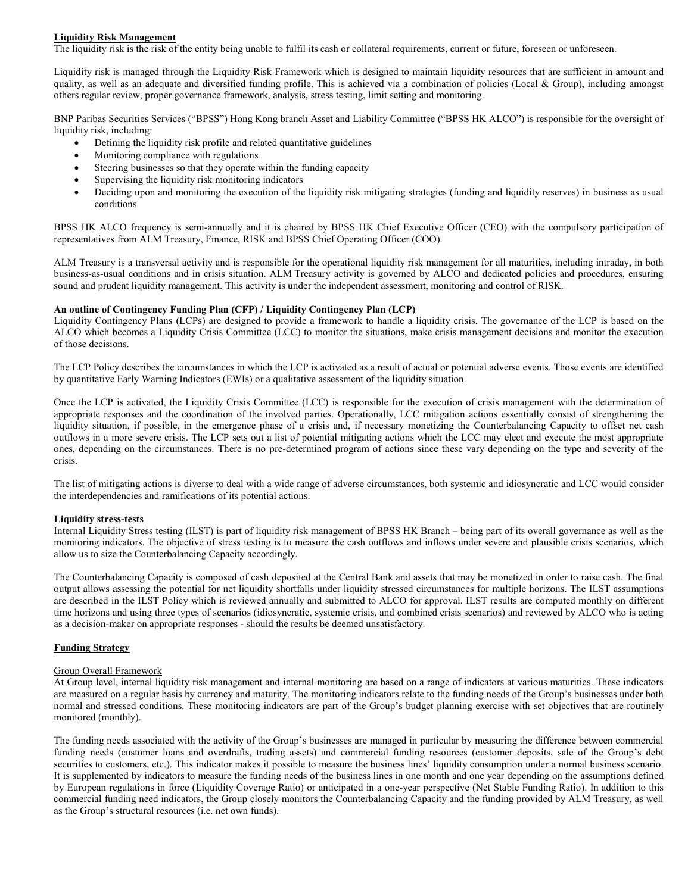#### Liquidity Risk Management

The liquidity risk is the risk of the entity being unable to fulfil its cash or collateral requirements, current or future, foreseen or unforeseen.

Liquidity risk is managed through the Liquidity Risk Framework which is designed to maintain liquidity resources that are sufficient in amount and quality, as well as an adequate and diversified funding profile. This is achieved via a combination of policies (Local & Group), including amongst others regular review, proper governance framework, analysis, stress testing, limit setting and monitoring.

BNP Paribas Securities Services ("BPSS") Hong Kong branch Asset and Liability Committee ("BPSS HK ALCO") is responsible for the oversight of liquidity risk, including:

- Defining the liquidity risk profile and related quantitative guidelines
- Monitoring compliance with regulations
- Steering businesses so that they operate within the funding capacity
- Supervising the liquidity risk monitoring indicators
- Deciding upon and monitoring the execution of the liquidity risk mitigating strategies (funding and liquidity reserves) in business as usual conditions

BPSS HK ALCO frequency is semi-annually and it is chaired by BPSS HK Chief Executive Officer (CEO) with the compulsory participation of representatives from ALM Treasury, Finance, RISK and BPSS Chief Operating Officer (COO).

ALM Treasury is a transversal activity and is responsible for the operational liquidity risk management for all maturities, including intraday, in both business-as-usual conditions and in crisis situation. ALM Treasury activity is governed by ALCO and dedicated policies and procedures, ensuring sound and prudent liquidity management. This activity is under the independent assessment, monitoring and control of RISK.

#### An outline of Contingency Funding Plan (CFP) / Liquidity Contingency Plan (LCP)

Liquidity Contingency Plans (LCPs) are designed to provide a framework to handle a liquidity crisis. The governance of the LCP is based on the ALCO which becomes a Liquidity Crisis Committee (LCC) to monitor the situations, make crisis management decisions and monitor the execution of those decisions.

The LCP Policy describes the circumstances in which the LCP is activated as a result of actual or potential adverse events. Those events are identified by quantitative Early Warning Indicators (EWIs) or a qualitative assessment of the liquidity situation.

Once the LCP is activated, the Liquidity Crisis Committee (LCC) is responsible for the execution of crisis management with the determination of appropriate responses and the coordination of the involved parties. Operationally, LCC mitigation actions essentially consist of strengthening the liquidity situation, if possible, in the emergence phase of a crisis and, if necessary monetizing the Counterbalancing Capacity to offset net cash outflows in a more severe crisis. The LCP sets out a list of potential mitigating actions which the LCC may elect and execute the most appropriate ones, depending on the circumstances. There is no pre-determined program of actions since these vary depending on the type and severity of the crisis.

The list of mitigating actions is diverse to deal with a wide range of adverse circumstances, both systemic and idiosyncratic and LCC would consider the interdependencies and ramifications of its potential actions.

#### Liquidity stress-tests

Internal Liquidity Stress testing (ILST) is part of liquidity risk management of BPSS HK Branch – being part of its overall governance as well as the monitoring indicators. The objective of stress testing is to measure the cash outflows and inflows under severe and plausible crisis scenarios, which allow us to size the Counterbalancing Capacity accordingly.

The Counterbalancing Capacity is composed of cash deposited at the Central Bank and assets that may be monetized in order to raise cash. The final output allows assessing the potential for net liquidity shortfalls under liquidity stressed circumstances for multiple horizons. The ILST assumptions are described in the ILST Policy which is reviewed annually and submitted to ALCO for approval. ILST results are computed monthly on different time horizons and using three types of scenarios (idiosyncratic, systemic crisis, and combined crisis scenarios) and reviewed by ALCO who is acting as a decision-maker on appropriate responses - should the results be deemed unsatisfactory.

#### Funding Strategy

#### Group Overall Framework

At Group level, internal liquidity risk management and internal monitoring are based on a range of indicators at various maturities. These indicators are measured on a regular basis by currency and maturity. The monitoring indicators relate to the funding needs of the Group's businesses under both normal and stressed conditions. These monitoring indicators are part of the Group's budget planning exercise with set objectives that are routinely monitored (monthly).

The funding needs associated with the activity of the Group's businesses are managed in particular by measuring the difference between commercial funding needs (customer loans and overdrafts, trading assets) and commercial funding resources (customer deposits, sale of the Group's debt securities to customers, etc.). This indicator makes it possible to measure the business lines' liquidity consumption under a normal business scenario. It is supplemented by indicators to measure the funding needs of the business lines in one month and one year depending on the assumptions defined by European regulations in force (Liquidity Coverage Ratio) or anticipated in a one-year perspective (Net Stable Funding Ratio). In addition to this commercial funding need indicators, the Group closely monitors the Counterbalancing Capacity and the funding provided by ALM Treasury, as well as the Group's structural resources (i.e. net own funds).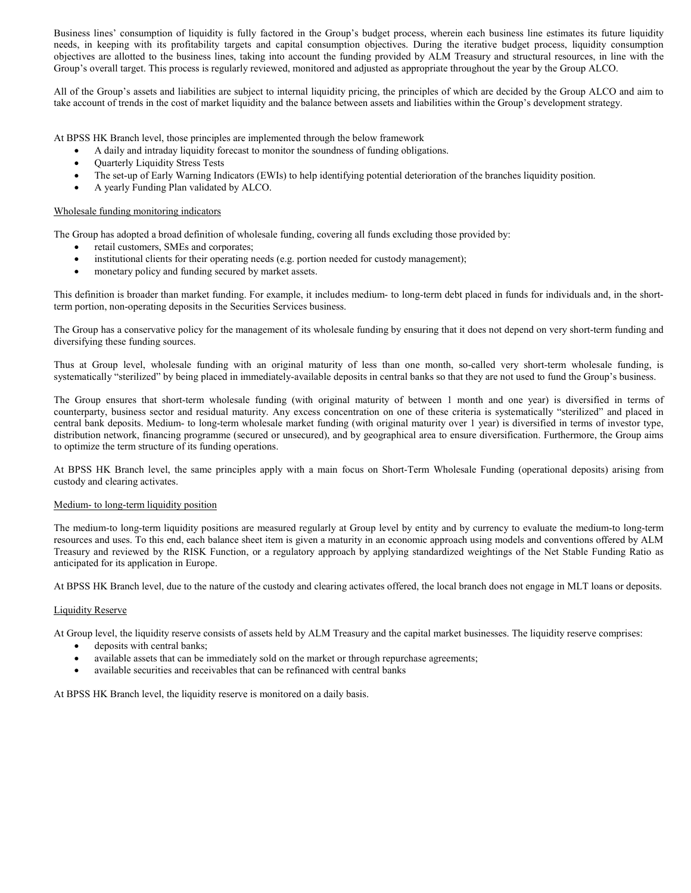Business lines' consumption of liquidity is fully factored in the Group's budget process, wherein each business line estimates its future liquidity needs, in keeping with its profitability targets and capital consumption objectives. During the iterative budget process, liquidity consumption objectives are allotted to the business lines, taking into account the funding provided by ALM Treasury and structural resources, in line with the Group's overall target. This process is regularly reviewed, monitored and adjusted as appropriate throughout the year by the Group ALCO.

All of the Group's assets and liabilities are subject to internal liquidity pricing, the principles of which are decided by the Group ALCO and aim to take account of trends in the cost of market liquidity and the balance between assets and liabilities within the Group's development strategy.

At BPSS HK Branch level, those principles are implemented through the below framework

- A daily and intraday liquidity forecast to monitor the soundness of funding obligations.
- Quarterly Liquidity Stress Tests
- The set-up of Early Warning Indicators (EWIs) to help identifying potential deterioration of the branches liquidity position.
- A yearly Funding Plan validated by ALCO.

#### Wholesale funding monitoring indicators

The Group has adopted a broad definition of wholesale funding, covering all funds excluding those provided by:

- retail customers, SMEs and corporates;
- institutional clients for their operating needs (e.g. portion needed for custody management);
- monetary policy and funding secured by market assets.

This definition is broader than market funding. For example, it includes medium- to long-term debt placed in funds for individuals and, in the shortterm portion, non-operating deposits in the Securities Services business.

The Group has a conservative policy for the management of its wholesale funding by ensuring that it does not depend on very short-term funding and diversifying these funding sources.

Thus at Group level, wholesale funding with an original maturity of less than one month, so-called very short-term wholesale funding, is systematically "sterilized" by being placed in immediately-available deposits in central banks so that they are not used to fund the Group's business.

The Group ensures that short-term wholesale funding (with original maturity of between 1 month and one year) is diversified in terms of counterparty, business sector and residual maturity. Any excess concentration on one of these criteria is systematically "sterilized" and placed in central bank deposits. Medium- to long-term wholesale market funding (with original maturity over 1 year) is diversified in terms of investor type, distribution network, financing programme (secured or unsecured), and by geographical area to ensure diversification. Furthermore, the Group aims to optimize the term structure of its funding operations.

At BPSS HK Branch level, the same principles apply with a main focus on Short-Term Wholesale Funding (operational deposits) arising from custody and clearing activates.

#### Medium- to long-term liquidity position

The medium-to long-term liquidity positions are measured regularly at Group level by entity and by currency to evaluate the medium-to long-term resources and uses. To this end, each balance sheet item is given a maturity in an economic approach using models and conventions offered by ALM Treasury and reviewed by the RISK Function, or a regulatory approach by applying standardized weightings of the Net Stable Funding Ratio as anticipated for its application in Europe.

At BPSS HK Branch level, due to the nature of the custody and clearing activates offered, the local branch does not engage in MLT loans or deposits.

#### Liquidity Reserve

At Group level, the liquidity reserve consists of assets held by ALM Treasury and the capital market businesses. The liquidity reserve comprises:

- deposits with central banks;
- available assets that can be immediately sold on the market or through repurchase agreements;
- available securities and receivables that can be refinanced with central banks

At BPSS HK Branch level, the liquidity reserve is monitored on a daily basis.